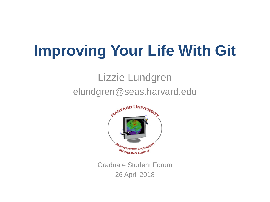# **Improving Your Life With Git**

#### Lizzie Lundgren elundgren@seas.harvard.edu



Graduate Student Forum 26 April 2018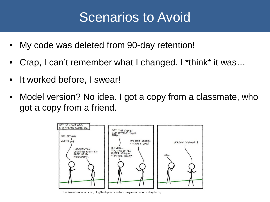### Scenarios to Avoid

- My code was deleted from 90-day retention!
- Crap, I can't remember what I changed. I \*think\* it was…
- It worked before, I swear!
- Model version? No idea. I got a copy from a classmate, who got a copy from a friend.



https://madusudanan.com/blog/best-practices-for-using-version-control-systems/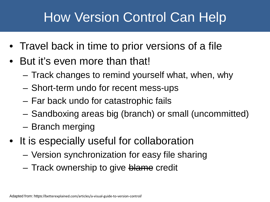# How Version Control Can Help

- Travel back in time to prior versions of a file
- But it's even more than that!
	- Track changes to remind yourself what, when, why
	- Short-term undo for recent mess-ups
	- Far back undo for catastrophic fails
	- Sandboxing areas big (branch) or small (uncommitted)
	- Branch merging
- It is especially useful for collaboration
	- Version synchronization for easy file sharing
	- Track ownership to give blame credit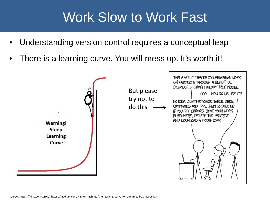### Work Slow to Work Fast

- Understanding version control requires a conceptual leap
- There is a learning curve. You will mess up. It's worth it!

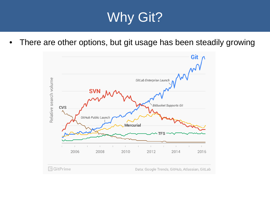## Why Git?

• There are other options, but git usage has been steadily growing

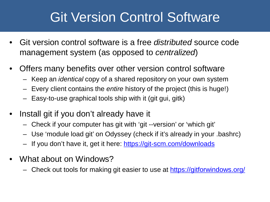## Git Version Control Software

- Git version control software is a free *distributed* source code management system (as opposed to *centralized*)
- Offers many benefits over other version control software
	- Keep an *identical* copy of a shared repository on your own system
	- Every client contains the *entire* history of the project (this is huge!)
	- Easy-to-use graphical tools ship with it (git gui, gitk)
- Install git if you don't already have it
	- Check if your computer has git with 'git --version' or 'which git'
	- Use 'module load git' on Odyssey (check if it's already in your .bashrc)
	- If you don't have it, get it here: <https://git-scm.com/downloads>
- What about on Windows?
	- Check out tools for making git easier to use at <https://gitforwindows.org/>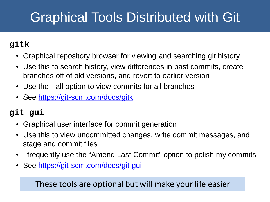# Graphical Tools Distributed with Git

#### **gitk**

- Graphical repository browser for viewing and searching git history
- Use this to search history, view differences in past commits, create branches off of old versions, and revert to earlier version
- Use the --all option to view commits for all branches
- See<https://git-scm.com/docs/gitk>

#### **git gui**

- Graphical user interface for commit generation
- Use this to view uncommitted changes, write commit messages, and stage and commit files
- I frequently use the "Amend Last Commit" option to polish my commits
- See<https://git-scm.com/docs/git-gui>

These tools are optional but will make your life easier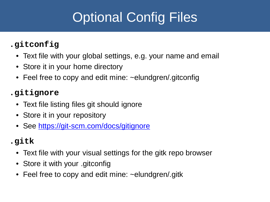# Optional Config Files

#### **.gitconfig**

- Text file with your global settings, e.g. your name and email
- Store it in your home directory
- Feel free to copy and edit mine: ~elundgren/.gitconfig

#### **.gitignore**

- Text file listing files git should ignore
- Store it in your repository
- See<https://git-scm.com/docs/gitignore>

#### **.gitk**

- Text file with your visual settings for the gitk repo browser
- Store it with your .gitconfig
- Feel free to copy and edit mine: ~elundgren/.gitk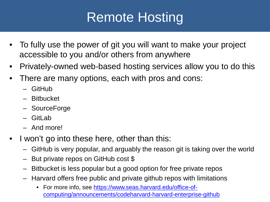# Remote Hosting

- To fully use the power of git you will want to make your project accessible to you and/or others from anywhere
- Privately-owned web-based hosting services allow you to do this
- There are many options, each with pros and cons:
	- GitHub
	- Bitbucket
	- SourceForge
	- $-$  Gitl ab
	- And more!
- I won't go into these here, other than this:
	- GitHub is very popular, and arguably the reason git is taking over the world
	- But private repos on GitHub cost \$
	- Bitbucket is less popular but a good option for free private repos
	- Harvard offers free public and private github repos with limitations
		- For more info, see [https://www.seas.harvard.edu/office-of](https://www.seas.harvard.edu/office-of-computing/announcements/codeharvard-harvard-enterprise-github)[computing/announcements/codeharvard-harvard-enterprise-github](https://www.seas.harvard.edu/office-of-computing/announcements/codeharvard-harvard-enterprise-github)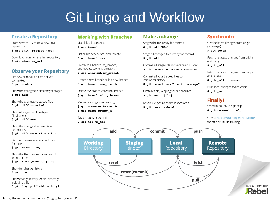## Git Lingo and Workflow

#### **Create a Repository**

From scratch -- Create a new local repository

\$ git init [project name]

Download from an existing repository \$ git clone my url

#### **Observe your Repository**

List new or modified files not yet committed

\$ git status

Show the changes to files not yet staged \$ git diff

Show the changes to staged files \$ git diff --cached

Show all staged and unstaged file changes \$ git diff HEAD

Show the changes between two commit ids \$ git diff commit1 commit2

List the change dates and authors for a file \$ git blame [file]

Show the file changes for a commit id and/or file \$ git show [commit]: [file]

Show full change history \$ git log

Show change history for file/directory including diffs \$ git log -p [file/directory]

#### **Working with Branches**

List all local branches \$ git branch

List all branches, local and remote

\$ qit branch -av

Switch to a branch, my branch, and update working directory

\$ git checkout my branch

Create a new branch called new branch

\$ git branch new branch

Delete the branch called my branch \$ git branch -d my\_branch

Merge branch\_a into branch\_b \$ git checkout branch b \$ git merge branch a

Tag the current commit



#### **Make a change**

Stages the file, ready for commit \$ git add [file]

Stage all changed files, ready for commit \$ git add.

Commit all staged files to versioned history

\$ git commit -m "commit message"

Commit all your tracked files to versioned history

\$ git commit -am "commit message"

Unstages file, keeping the file changes \$ git reset [file]

Revert everything to the last commit

\$ git reset -- hard

#### **Synchronize**

Get the latest changes from origin (no merge)

\$ git fetch

Fetch the latest changes from origin and merge

\$ git pull

Fetch the latest changes from origin and rebase

\$ qit pull --rebase

Push local changes to the origin \$ git push

#### **Finally!**

When in doubt, use git help \$ git command --help

Or visit https://training.github.com/ for official GitHub training.

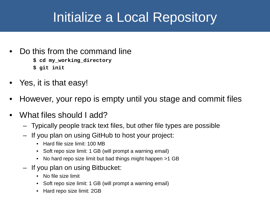## Initialize a Local Repository

- Do this from the command line **\$ cd my\_working\_directory**
	- **\$ git init**
- Yes, it is that easy!
- However, your repo is empty until you stage and commit files
- What files should I add?
	- Typically people track text files, but other file types are possible
	- If you plan on using GitHub to host your project:
		- Hard file size limit: 100 MB
		- Soft repo size limit: 1 GB (will prompt a warning email)
		- No hard repo size limit but bad things might happen >1 GB
	- If you plan on using Bitbucket:
		- No file size limit
		- Soft repo size limit: 1 GB (will prompt a warning email)
		- Hard repo size limit: 2GB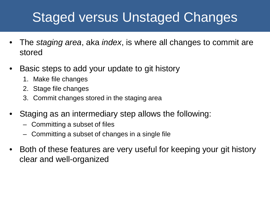## Staged versus Unstaged Changes

- The *staging area*, aka *index*, is where all changes to commit are stored
- Basic steps to add your update to git history
	- 1. Make file changes
	- 2. Stage file changes
	- 3. Commit changes stored in the staging area
- Staging as an intermediary step allows the following:
	- Committing a subset of files
	- Committing a subset of changes in a single file
- Both of these features are very useful for keeping your git history clear and well-organized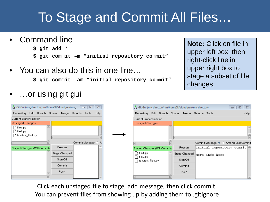## To Stage and Commit All Files…

• Command line

**\$ git add \***

- **\$ git commit –m "initial repository commit"**
- You can also do this in one line…

Commit Message: <

\$ git commit -am "init

• …or using git gui

Current Branch: master **Unstaged Changes**  $\Box$  file1.py ↑ file2.py hest/test file1.py

Staged Changes (Will Commit)

• Git Gui (my\_directory) /n/home08/elundgren/my ...  $\Box$  □ □ 23 Repository Edit Branch Commit Merge Remote Tools Help

Rescan

Stage Changed Sign Off Commit Push

|  |                         | ial repository commit"                                                                                        |               |        | siayo a subsol of film<br>changes.    |                  |
|--|-------------------------|---------------------------------------------------------------------------------------------------------------|---------------|--------|---------------------------------------|------------------|
|  |                         | + Git Gui (my_directory) /n/home08/elundgren/my_directory<br>Repository Edit Branch Commit Merge Remote Tools |               |        | 回<br>$\Box$                           | $\Sigma$<br>Help |
|  | Current Branch: master  |                                                                                                               |               |        |                                       |                  |
|  | <b>Unstaged Changes</b> |                                                                                                               |               |        |                                       |                  |
|  |                         |                                                                                                               | $\vert \vert$ |        |                                       |                  |
|  |                         |                                                                                                               |               |        | Commit Message: ♦ ♦ Amend Last Commit |                  |
|  |                         | Staged Changes (Will Commit)                                                                                  | Rescan        |        | initial repository commit             |                  |
|  | file 1.py<br>file2.py   |                                                                                                               | Stage Changed |        | More info here                        |                  |
|  | test/test_file1.py      |                                                                                                               | Sign Off      |        |                                       |                  |
|  |                         |                                                                                                               |               | Commit |                                       |                  |
|  |                         |                                                                                                               | Push          |        |                                       |                  |
|  |                         |                                                                                                               |               |        |                                       |                  |

Click each unstaged file to stage, add message, then click commit. You can prevent files from showing up by adding them to .gitignore

**Note:** Click on file in upper left box, then right-click line in upper right box to stage a subset of file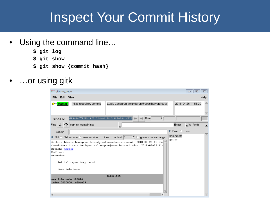### Inspect Your Commit History

- Using the command line...
	- **\$ git log**
	- **\$ git show**
	- **\$ git show {commit hash}**
- …or using gitk

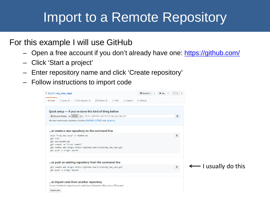### Import to a Remote Repository

#### For this example I will use GitHub

- Open a free account if you don't already have one: <https://github.com/>
- Click 'Start a project'
- Enter repository name and click 'Create repository'
- Follow instructions to import code

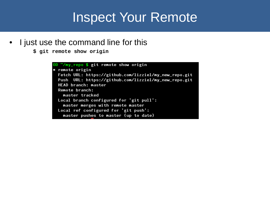#### Inspect Your Remote

• I just use the command line for this

```
$ git remote show origin
```

```
00 "/my_repo $ git remote show origin
* remote origin
  Fetch URL: https://github.com/lizziel/my_new_repo.git
  Push URL: https://github.com/lizziel/my_new_repo.git
  HEAD branch: master
  Remote branch:
    master tracked
  Local branch configured for 'git pull':
    master merges with remote master
  Local ref configured for 'git push':
    master pushes to master (up to date)
```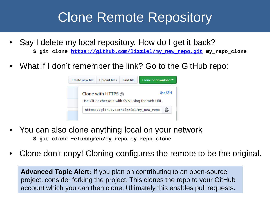### Clone Remote Repository

- Say I delete my local repository. How do I get it back? **\$ git clone [https://github.com/lizziel/my\\_new\\_repo.git](https://github.com/lizziel/my_new_repo.git) my\_repo\_clone**
- What if I don't remember the link? Go to the GitHub repo:



- You can also clone anything local on your network **\$ git clone ~elundgren/my\_repo my\_repo\_clone**
- Clone don't copy! Cloning configures the remote to be the original.

**Advanced Topic Alert:** If you plan on contributing to an open-source project, consider forking the project. This clones the repo to your GitHub account which you can then clone. Ultimately this enables pull requests.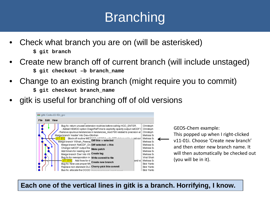# **Branching**

- Check what branch you are on (will be asterisked) **\$ git branch**
- Create new branch off of current branch (will include unstaged) **\$ git checkout –b branch\_name**
- Change to an existing branch (might require you to commit) **\$ git checkout branch\_name**
- gitk is useful for branching off of old versions



GEOS-Chem example: This popped up when I right-clicked v11-01i. Choose 'Create new branch' and then enter new branch name. It will then automatically be checked out (you will be in it).

**Each one of the vertical lines in gitk is a branch. Horrifying, I know.**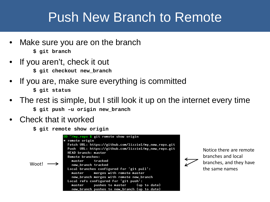#### Push New Branch to Remote

- Make sure you are on the branch **\$ git branch**
- If you aren't, check it out
	- **\$ git checkout new\_branch**
- If you are, make sure everything is committed **\$ git status**
- The rest is simple, but I still look it up on the internet every time
	- **\$ git push –u origin new\_branch**
- Check that it worked

**\$ git remote show origin**



Notice there are remote branches and local branches, and they have the same names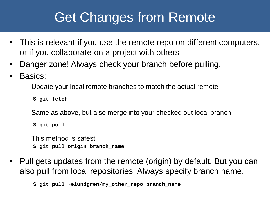## Get Changes from Remote

- This is relevant if you use the remote repo on different computers, or if you collaborate on a project with others
- Danger zone! Always check your branch before pulling.
- Basics:
	- Update your local remote branches to match the actual remote

**\$ git fetch**

– Same as above, but also merge into your checked out local branch

**\$ git pull**

- This method is safest **\$ git pull origin branch\_name**
- Pull gets updates from the remote (origin) by default. But you can also pull from local repositories. Always specify branch name.

**\$ git pull ~elundgren/my\_other\_repo branch\_name**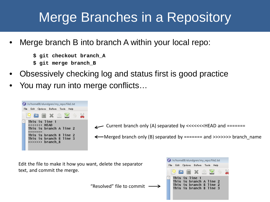## Merge Branches in a Repository

- Merge branch B into branch A within your local repo:
	- **\$ git checkout branch\_A**
	- **\$ git merge branch\_B**
- Obsessively checking log and status first is good practice
- You may run into merge conflicts…



Current branch only (A) separated by <<<<<<<HEAD and =======

 $\leftarrow$  Merged branch only (B) separated by ====== and >>>>>>> branch\_name

Edit the file to make it how you want, delete the separator text, and commit the merge.

"Resolved" file to commit

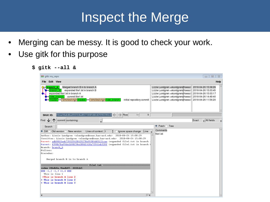### Inspect the Merge

- Merging can be messy. It is good to check your work.
- Use gitk for this purpose
	- **\$ gitk --all &**

| 777 gitk: my_repo                                                                                                                                                                                                                                                                                                                                                                                                                                                                                                                                                                                                                                                                                                                                                                                                                                                                           | $\Sigma$<br>回<br>$\Box$                                                                                                                                                                                                                                                                                                                                                                                                        |
|---------------------------------------------------------------------------------------------------------------------------------------------------------------------------------------------------------------------------------------------------------------------------------------------------------------------------------------------------------------------------------------------------------------------------------------------------------------------------------------------------------------------------------------------------------------------------------------------------------------------------------------------------------------------------------------------------------------------------------------------------------------------------------------------------------------------------------------------------------------------------------------------|--------------------------------------------------------------------------------------------------------------------------------------------------------------------------------------------------------------------------------------------------------------------------------------------------------------------------------------------------------------------------------------------------------------------------------|
| Edit View<br><b>File</b>                                                                                                                                                                                                                                                                                                                                                                                                                                                                                                                                                                                                                                                                                                                                                                                                                                                                    | Help                                                                                                                                                                                                                                                                                                                                                                                                                           |
| Merged branch B in to branch A<br>branch A<br>expanded file1.txt in branch B<br>branch B<br>expanded file1.txt in branch A<br>commit file1.txt<br>new branch<br>remotes/origin/new branch<br>remotes/origin/master<br>initial repository commit<br>master                                                                                                                                                                                                                                                                                                                                                                                                                                                                                                                                                                                                                                   | Lizzie Lundgren <elundgren@seas.l 15:08:29<br="" 2018-04-26="">Lizzie Lundgren <elundgren@seas.l 15:03:45<br="" 2018-04-26="">Lizzie Lundgren <elundgren@seas.l 15:03:17<br="" 2018-04-26="">Lizzie Lundgren <elundgren@seas.l 14:49:40<br="" 2018-04-26="">Lizzie Lundgren <elundgren@seas.l 11:56:20<="" 2018-04-26="" td=""></elundgren@seas.l></elundgren@seas.l></elundgren@seas.l></elundgren@seas.l></elundgren@seas.l> |
| 9fea34abdbaf0f314ad0276849d41d25902301c4<br>5<br>Row<br>1/<br>SHA1 ID:                                                                                                                                                                                                                                                                                                                                                                                                                                                                                                                                                                                                                                                                                                                                                                                                                      |                                                                                                                                                                                                                                                                                                                                                                                                                                |
| commit containing:<br>Find<br>◡<br>$\blacktriangledown$                                                                                                                                                                                                                                                                                                                                                                                                                                                                                                                                                                                                                                                                                                                                                                                                                                     | $\overline{\mathbf{v}}$ All fields<br>Exact<br>$\overline{\phantom{a}}$                                                                                                                                                                                                                                                                                                                                                        |
| Search                                                                                                                                                                                                                                                                                                                                                                                                                                                                                                                                                                                                                                                                                                                                                                                                                                                                                      | $\blacklozenge$ Patch $\lozenge$ Tree                                                                                                                                                                                                                                                                                                                                                                                          |
| Old version $\Diamond$ New version<br>Lines of context: 3<br>칅<br>$\overline{\phantom{a}}$<br>Diff <sup>o</sup><br>Line<br>Ignore space change<br>Author: Lizzie Lundgren <elundgren@seas.harvard.edu><br/>2018-04-26 15:08:29<br/>Committer: Lizzie Lundgren <elundgren@seas.harvard.edu> 2018-04-26 15:08:29<br/>Parent: adb98ffeeb739329628629278e99386d45121cae (expanded file1.txt in branch<br/>Parent: 4390b7ba95de1b98f34e180d1618a7f561eb320f (expanded file1.txt in branch 1<br/>Branch: branch A<br/>Follows:<br/>Precedes:<br/>Merged branch B in to branch A<br/>filel.txt<br/>index 24bdb6e, 0bedb854444cb5<br/><math>000 - 1, 2 -1, 3 +1, 4000</math><br/>This is line 1<br/><math>+This is branch A line 2</math><br/>+ This is branch B line 2<br/>+ This is branch B line 3<br/><math>\blacktriangleleft</math></elundgren@seas.harvard.edu></elundgren@seas.harvard.edu> | Comments<br>file1.txt<br>$\triangle$                                                                                                                                                                                                                                                                                                                                                                                           |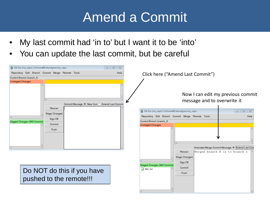### Amend a Commit

- My last commit had 'in to' but I want it to be 'into'
- You can update the last commit, but be careful

| + Git Gui (my_repo) /n/home08/elundgren/my_repo<br>Repository Edit Branch Commit Merge Remote Tools<br>Current Branch: branch A<br><b>Unstaged Changes</b> | $\Box$<br>$\mathbb{R}$<br>Help | Click here ("Amend Last Commit")                                        |                                                                                  |
|------------------------------------------------------------------------------------------------------------------------------------------------------------|--------------------------------|-------------------------------------------------------------------------|----------------------------------------------------------------------------------|
| Commit Message: ♦ New Com ♦ Amend Last Commit<br>Rescan                                                                                                    |                                | message and to overwrite it                                             | Now I can edit my previous commit                                                |
|                                                                                                                                                            |                                | • Git Gui (my_repo) /n/home08/elundgren/my_repo                         | $\Box$<br>$\Sigma$<br>$\qquad \qquad \Box$                                       |
| Stage Changed<br>Sign Off                                                                                                                                  |                                | Repository Edit Branch Commit Merge Remote Tools                        | Help                                                                             |
| Staged Changes (Will Commit)<br>Commit                                                                                                                     |                                | Current Branch: branch_A                                                |                                                                                  |
| Push                                                                                                                                                       |                                | <b>Unstaged Changes</b><br>Rescan<br>Stage Changed                      | Amended Merge Commit Message: ♦ Amend Last Cor<br>Merged branch B in to branch A |
|                                                                                                                                                            |                                | Sign Off                                                                |                                                                                  |
| Do NOT do this if you have<br>pushed to the remote!!!                                                                                                      |                                | Staged Changes (Will Commit)<br>Commit<br>$\sqrt{ }$ file 1.txt<br>Push |                                                                                  |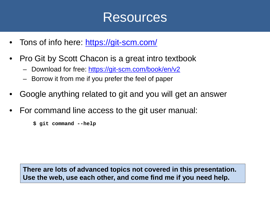#### Resources

- Tons of info here: <https://git-scm.com/>
- Pro Git by Scott Chacon is a great intro textbook
	- Download for free:<https://git-scm.com/book/en/v2>
	- Borrow it from me if you prefer the feel of paper
- Google anything related to git and you will get an answer
- For command line access to the git user manual:
	- **\$ git command --help**

**There are lots of advanced topics not covered in this presentation. Use the web, use each other, and come find me if you need help.**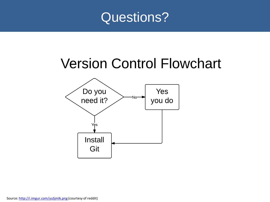

### **Version Control Flowchart**

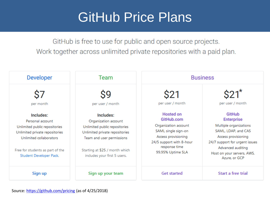#### GitHub Price Plans

GitHub is free to use for public and open source projects. Work together across unlimited private repositories with a paid plan.

| <b>Developer</b>                                                                                                                                                                           | Team                                                                                                                                                                                                | <b>Business</b>                                                                                                                                                        |                                                                                                                                                                                                                  |  |
|--------------------------------------------------------------------------------------------------------------------------------------------------------------------------------------------|-----------------------------------------------------------------------------------------------------------------------------------------------------------------------------------------------------|------------------------------------------------------------------------------------------------------------------------------------------------------------------------|------------------------------------------------------------------------------------------------------------------------------------------------------------------------------------------------------------------|--|
| per month                                                                                                                                                                                  | 99<br>per user / month                                                                                                                                                                              | S21<br>per user / month                                                                                                                                                | \$21<br>per user / month                                                                                                                                                                                         |  |
| Includes:<br>Personal account<br>Unlimited public repositories<br>Unlimited private repositories<br>Unlimited collaborators<br>Free for students as part of the<br>Student Developer Pack. | Includes:<br>Organization account<br>Unlimited public repositories<br>Unlimited private repositories<br>Team and user permissions<br>Starting at \$25 / month which<br>includes your first 5 users. | <b>Hosted on</b><br>GitHub.com<br>Organization account<br>SAML single sign-on<br>Access provisioning<br>24/5 support with 8-hour<br>response time<br>99.95% Uptime SLA | <b>GitHub</b><br><b>Enterprise</b><br>Multiple organizations<br>SAML, LDAP, and CAS<br>Access provisioning<br>24/7 support for urgent issues<br>Advanced auditing<br>Host on your servers, AWS,<br>Azure, or GCP |  |
| Sign up                                                                                                                                                                                    | Sign up your team                                                                                                                                                                                   | <b>Get started</b>                                                                                                                                                     | Start a free trial                                                                                                                                                                                               |  |

#### Source: <https://github.com/pricing> (as of 4/25/2018)